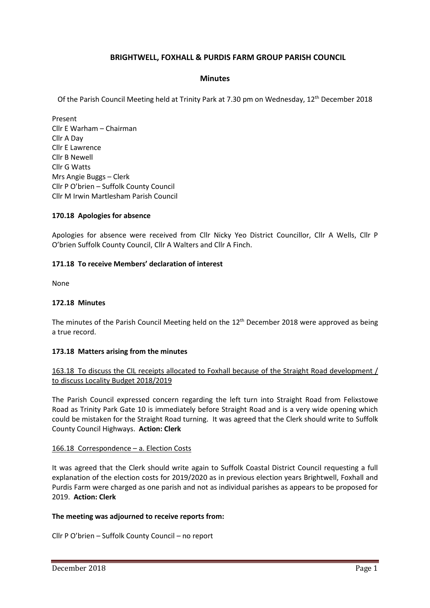# **BRIGHTWELL, FOXHALL & PURDIS FARM GROUP PARISH COUNCIL**

# **Minutes**

Of the Parish Council Meeting held at Trinity Park at 7.30 pm on Wednesday, 12th December 2018

Present Cllr E Warham – Chairman Cllr A Day Cllr E Lawrence Cllr B Newell Cllr G Watts Mrs Angie Buggs – Clerk Cllr P O'brien – Suffolk County Council Cllr M Irwin Martlesham Parish Council

# **170.18 Apologies for absence**

Apologies for absence were received from Cllr Nicky Yeo District Councillor, Cllr A Wells, Cllr P O'brien Suffolk County Council, Cllr A Walters and Cllr A Finch.

### **171.18 To receive Members' declaration of interest**

None

### **172.18 Minutes**

The minutes of the Parish Council Meeting held on the 12<sup>th</sup> December 2018 were approved as being a true record.

### **173.18 Matters arising from the minutes**

# 163.18 To discuss the CIL receipts allocated to Foxhall because of the Straight Road development / to discuss Locality Budget 2018/2019

The Parish Council expressed concern regarding the left turn into Straight Road from Felixstowe Road as Trinity Park Gate 10 is immediately before Straight Road and is a very wide opening which could be mistaken for the Straight Road turning. It was agreed that the Clerk should write to Suffolk County Council Highways. **Action: Clerk**

### 166.18 Correspondence – a. Election Costs

It was agreed that the Clerk should write again to Suffolk Coastal District Council requesting a full explanation of the election costs for 2019/2020 as in previous election years Brightwell, Foxhall and Purdis Farm were charged as one parish and not as individual parishes as appears to be proposed for 2019. **Action: Clerk**

### **The meeting was adjourned to receive reports from:**

Cllr P O'brien – Suffolk County Council – no report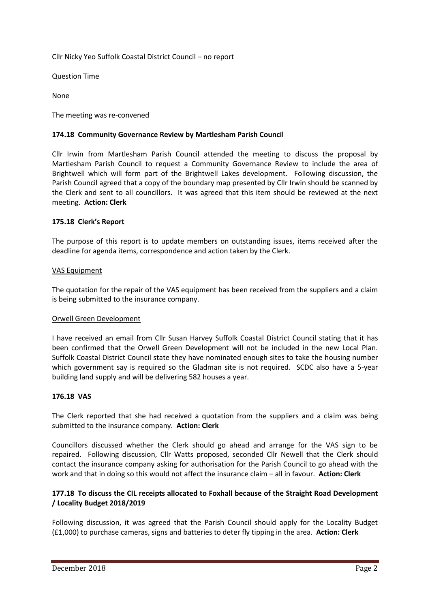Cllr Nicky Yeo Suffolk Coastal District Council – no report

Question Time

None

The meeting was re-convened

# **174.18 Community Governance Review by Martlesham Parish Council**

Cllr Irwin from Martlesham Parish Council attended the meeting to discuss the proposal by Martlesham Parish Council to request a Community Governance Review to include the area of Brightwell which will form part of the Brightwell Lakes development. Following discussion, the Parish Council agreed that a copy of the boundary map presented by Cllr Irwin should be scanned by the Clerk and sent to all councillors. It was agreed that this item should be reviewed at the next meeting. **Action: Clerk**

# **175.18 Clerk's Report**

The purpose of this report is to update members on outstanding issues, items received after the deadline for agenda items, correspondence and action taken by the Clerk.

# VAS Equipment

The quotation for the repair of the VAS equipment has been received from the suppliers and a claim is being submitted to the insurance company.

### Orwell Green Development

I have received an email from Cllr Susan Harvey Suffolk Coastal District Council stating that it has been confirmed that the Orwell Green Development will not be included in the new Local Plan. Suffolk Coastal District Council state they have nominated enough sites to take the housing number which government say is required so the Gladman site is not required. SCDC also have a 5-year building land supply and will be delivering 582 houses a year.

### **176.18 VAS**

The Clerk reported that she had received a quotation from the suppliers and a claim was being submitted to the insurance company. **Action: Clerk**

Councillors discussed whether the Clerk should go ahead and arrange for the VAS sign to be repaired. Following discussion, Cllr Watts proposed, seconded Cllr Newell that the Clerk should contact the insurance company asking for authorisation for the Parish Council to go ahead with the work and that in doing so this would not affect the insurance claim – all in favour. **Action: Clerk**

# **177.18 To discuss the CIL receipts allocated to Foxhall because of the Straight Road Development / Locality Budget 2018/2019**

Following discussion, it was agreed that the Parish Council should apply for the Locality Budget (£1,000) to purchase cameras, signs and batteries to deter fly tipping in the area. **Action: Clerk**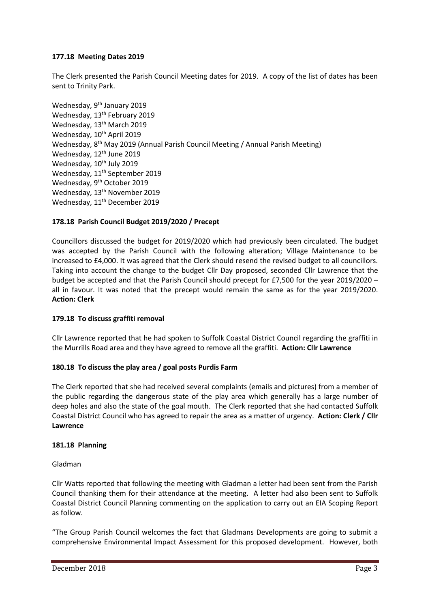# **177.18 Meeting Dates 2019**

The Clerk presented the Parish Council Meeting dates for 2019. A copy of the list of dates has been sent to Trinity Park.

Wednesday, 9<sup>th</sup> January 2019 Wednesday, 13<sup>th</sup> February 2019 Wednesday, 13<sup>th</sup> March 2019 Wednesday, 10<sup>th</sup> April 2019 Wednesday, 8<sup>th</sup> May 2019 (Annual Parish Council Meeting / Annual Parish Meeting) Wednesday, 12<sup>th</sup> June 2019 Wednesday, 10<sup>th</sup> July 2019 Wednesday, 11<sup>th</sup> September 2019 Wednesday, 9<sup>th</sup> October 2019 Wednesday, 13<sup>th</sup> November 2019 Wednesday, 11<sup>th</sup> December 2019

# **178.18 Parish Council Budget 2019/2020 / Precept**

Councillors discussed the budget for 2019/2020 which had previously been circulated. The budget was accepted by the Parish Council with the following alteration; Village Maintenance to be increased to £4,000. It was agreed that the Clerk should resend the revised budget to all councillors. Taking into account the change to the budget Cllr Day proposed, seconded Cllr Lawrence that the budget be accepted and that the Parish Council should precept for £7,500 for the year 2019/2020 – all in favour. It was noted that the precept would remain the same as for the year 2019/2020. **Action: Clerk**

### **179.18 To discuss graffiti removal**

Cllr Lawrence reported that he had spoken to Suffolk Coastal District Council regarding the graffiti in the Murrills Road area and they have agreed to remove all the graffiti. **Action: Cllr Lawrence**

### **180.18 To discuss the play area / goal posts Purdis Farm**

The Clerk reported that she had received several complaints (emails and pictures) from a member of the public regarding the dangerous state of the play area which generally has a large number of deep holes and also the state of the goal mouth. The Clerk reported that she had contacted Suffolk Coastal District Council who has agreed to repair the area as a matter of urgency. **Action: Clerk / Cllr Lawrence**

### **181.18 Planning**

### Gladman

Cllr Watts reported that following the meeting with Gladman a letter had been sent from the Parish Council thanking them for their attendance at the meeting. A letter had also been sent to Suffolk Coastal District Council Planning commenting on the application to carry out an EIA Scoping Report as follow.

"The Group Parish Council welcomes the fact that Gladmans Developments are going to submit a comprehensive Environmental Impact Assessment for this proposed development. However, both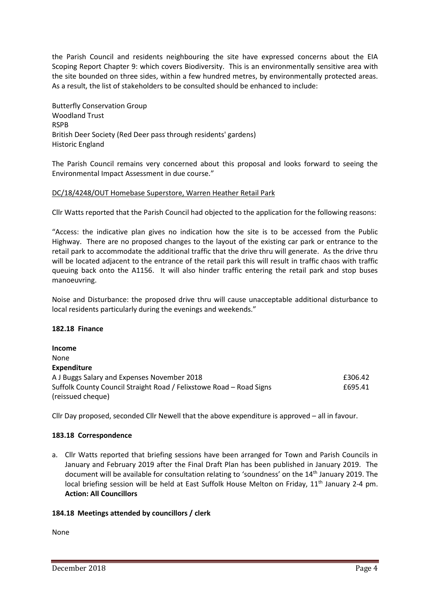the Parish Council and residents neighbouring the site have expressed concerns about the EIA Scoping Report Chapter 9: which covers Biodiversity. This is an environmentally sensitive area with the site bounded on three sides, within a few hundred metres, by environmentally protected areas. As a result, the list of stakeholders to be consulted should be enhanced to include:

Butterfly Conservation Group Woodland Trust **RSPR** British Deer Society (Red Deer pass through residents' gardens) Historic England

The Parish Council remains very concerned about this proposal and looks forward to seeing the Environmental Impact Assessment in due course."

# DC/18/4248/OUT Homebase Superstore, Warren Heather Retail Park

Cllr Watts reported that the Parish Council had objected to the application for the following reasons:

"Access: the indicative plan gives no indication how the site is to be accessed from the Public Highway. There are no proposed changes to the layout of the existing car park or entrance to the retail park to accommodate the additional traffic that the drive thru will generate. As the drive thru will be located adjacent to the entrance of the retail park this will result in traffic chaos with traffic queuing back onto the A1156. It will also hinder traffic entering the retail park and stop buses manoeuvring.

Noise and Disturbance: the proposed drive thru will cause unacceptable additional disturbance to local residents particularly during the evenings and weekends."

### **182.18 Finance**

**Income** None **Expenditure** A J Buggs Salary and Expenses November 2018 **EXPENSION CONVERTS 2018** E306.42 Suffolk County Council Straight Road / Felixstowe Road – Road Signs **EG95.41** (reissued cheque)

Cllr Day proposed, seconded Cllr Newell that the above expenditure is approved – all in favour.

### **183.18 Correspondence**

a. Cllr Watts reported that briefing sessions have been arranged for Town and Parish Councils in January and February 2019 after the Final Draft Plan has been published in January 2019. The document will be available for consultation relating to 'soundness' on the 14<sup>th</sup> January 2019. The local briefing session will be held at East Suffolk House Melton on Friday, 11<sup>th</sup> January 2-4 pm. **Action: All Councillors**

### **184.18 Meetings attended by councillors / clerk**

None